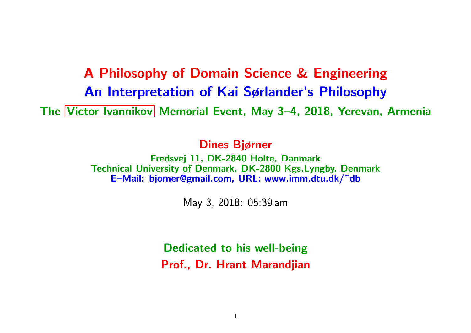# A Philosophy of Domain Science & Engineering An Interpretation of Kai Sørlander's Philosophy The Victor Ivannikov Memorial Event, May 3-4, 2018, Yerevan, Armenia

Dines Bjørner

Fredsvej 11, DK-2840 Holte, Danmark Technical University of Denmark, DK-2800 Kgs.Lyngby, Denmark E–Mail: bjorner@gmail.com, URL: www.imm.dtu.dk/˜db

May 3, 2018: 05:39 am

Dedicated to his well-being Prof., Dr. Hrant Marandjian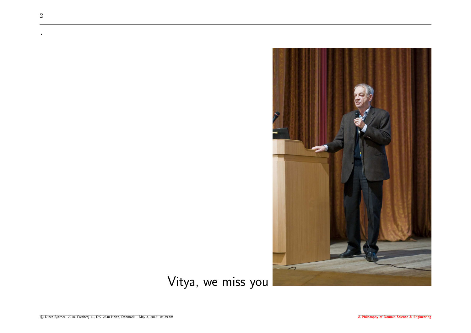

Vitya, we miss you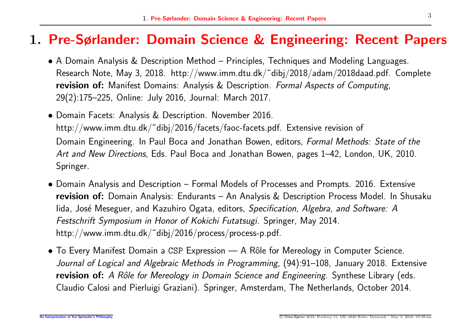#### 1. Pre-Sørlander: Domain Science & Engineering: Recent Papers

- A Domain Analysis & Description Method Principles, Techniques and Modeling Languages. Research Note, May 3, 2018. http://www.imm.dtu.dk/˜dibj/2018/adam/2018daad.pdf. Complete revision of: Manifest Domains: Analysis & Description. *Formal Aspects of Computing*, 29(2):175–225, Online: July 2016, Journal: March 2017.
- Domain Facets: Analysis & Description. November 2016. http://www.imm.dtu.dk/˜dibj/2016/facets/faoc-facets.pdf. Extensive revision of Domain Engineering. In Paul Boca and Jonathan Bowen, editors, *Formal Methods: State of the Art and New Directions*, Eds. Paul Boca and Jonathan Bowen, pages 1–42, London, UK, 2010. Springer.
- Domain Analysis and Description Formal Models of Processes and Prompts. 2016. Extensive revision of: Domain Analysis: Endurants – An Analysis & Description Process Model. In Shusaku Iida, Jos´e Meseguer, and Kazuhiro Ogata, editors, *Specification, Algebra, and Software: A Festschrift Symposium in Honor of Kokichi Futatsugi*. Springer, May 2014. http://www.imm.dtu.dk/˜dibj/2016/process/process-p.pdf.
- To Every Manifest Domain a CSP Expression A Rôle for Mereology in Computer Science. *Journal of Logical and Algebraic Methods in Programming*, (94):91–108, January 2018. Extensive revision of: *<sup>A</sup> Rˆole for Mereology in Domain Science and Engineering*. Synthese Library (eds. Claudio Calosi and Pierluigi Graziani). Springer, Amsterdam, The Netherlands, October 2014.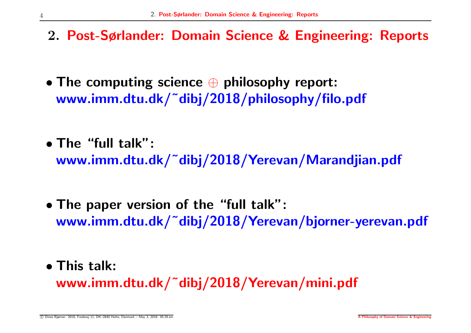- 2. Post-Sørlander: Domain Science & Engineering: Reports
- The computing science  $\oplus$  philosophy report: www.imm.dtu.dk/˜dibj/2018/philosophy/filo.pdf
- The "full talk":

www.imm.dtu.dk/˜dibj/2018/Yerevan/Marandjian.pdf

- The paper version of the "full talk": www.imm.dtu.dk/˜dibj/2018/Yerevan/bjorner-yerevan.pdf
- This talk: www.imm.dtu.dk/˜dibj/2018/Yerevan/mini.pdf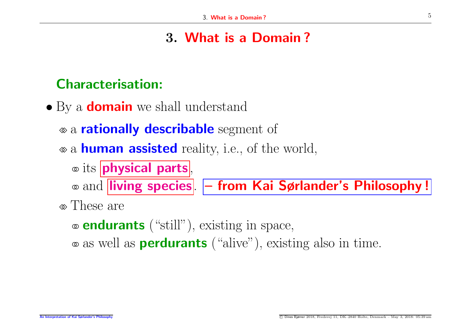## 3. What is <sup>a</sup> Domain ?

#### Characterisation:

- By a **domain** we shall understand
	- a **rationally describable** segment of
	- ⋄⋄ <sup>a</sup> human assisted reality, i.e., of the world,
		- ◦◦ its physical parts ,

◦◦ and living species . – from Kai Sørlander's Philosophy !

- ⋄⋄ These are
	- ◦◦ endurants ("still"), existing in space,
	- ◦◦ as well as perdurants ("alive"), existing also in time.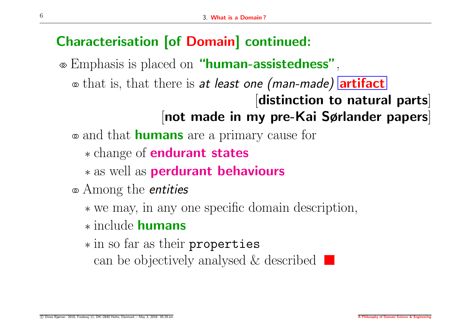# Characterisation [of Domain] continued:

⋄⋄ Emphasis is placed on "human-assistedness",

◦◦ that is, that there is *at least one (man-made)* artifact

[distinction to natural parts] [not made in my pre-Kai Sørlander papers]

- ◦◦ and that humans are <sup>a</sup> primary cause for
	- <sup>∗</sup> change of endurant states
	- <sup>∗</sup> as well as perdurant behaviours
- ◦◦ Among the *entities*
	- <sup>∗</sup> we may, in any one specific domain description,
	- ∗ include humans
	- <sup>∗</sup> in so far as their properties can be objectively analysed  $\&$  described  $\Box$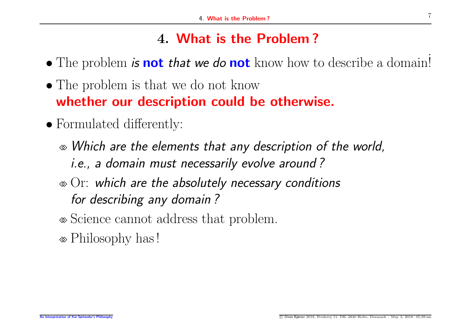## 4. What is the Problem ?

- The problem *is* **not** *that we do* **not** know how to describe a domain!
- The problem is that we do not know whether our description could be otherwise.
- Formulated differently:
	- ⋄⋄ *Which are the elements that any description of the world, i.e., a domain must necessarily evolve around ?*
	- ⋄⋄ Or: *which are the absolutely necessary conditions for describing any domain ?*
	- ⋄⋄ Science cannot address that problem.
	- ⋄⋄ Philosophy has !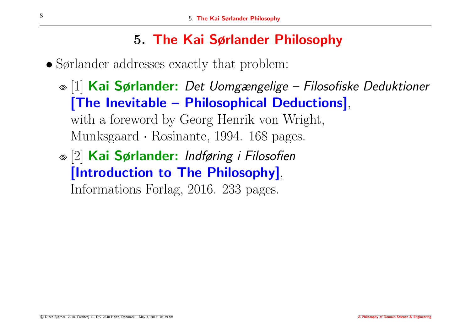# 5. The Kai Sørlander Philosophy

• Sørlander addresses exactly that problem:

- ⋄⋄ [1] Kai Sørlander: *Det Uomgængelige – Filosofiske Deduktioner* [The Inevitable – Philosophical Deductions], with <sup>a</sup> foreword by Georg Henrik von Wright, Munksgaard · Rosinante, 1994. 168 pages.
- ⋄⋄ [2] Kai Sørlander: *Indføring <sup>i</sup> Filosofien* [Introduction to The Philosophy], Informations Forlag, 2016. 233 pages.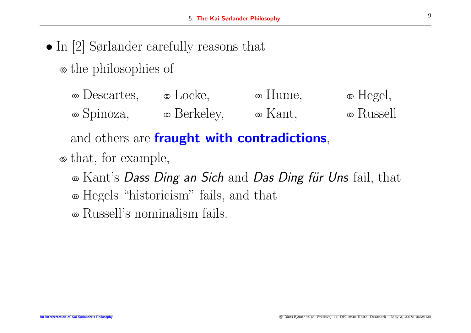- In [2] Sørlander carefully reasons that
	- ⋄⋄ the philosophies of
		- ◦◦ Descartes, ◦◦ Locke, ◦◦ Hume, ◦◦ Hegel, ◦◦ Spinoza, ◦◦ Berkeley, ◦◦ Kant, ◦◦ Russell

and others are **fraught with contradictions**,

- ⋄⋄ that, for example,
	- ◦◦ Kant's *Dass Ding an Sich* and *Das Ding f¨ur Uns* fail, that
	- ◦◦ Hegels "historicism" fails, and that

◦◦ Russell's nominalism fails.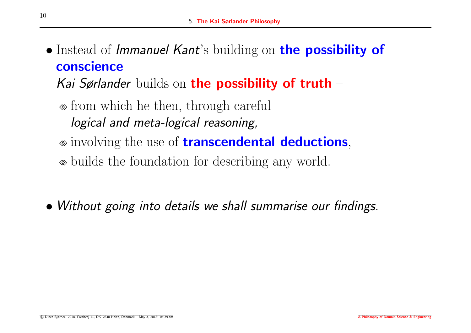• Instead of *Immanuel Kant*'s building on the possibility of conscience

*Kai Sørlander* builds on the possibility of truth –

⋄⋄ from which he then, through careful *logical and meta-logical reasoning,*

⋄⋄ involving the use of transcendental deductions,

⋄⋄ builds the foundation for describing any world.

• *Without going into details we shall summarise our findings.*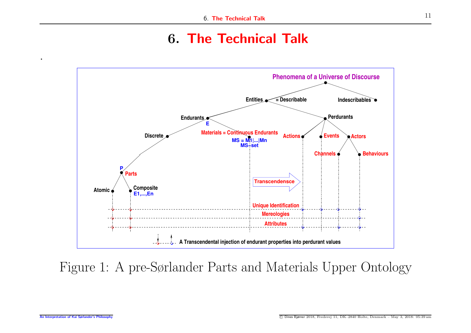#### 6. The Technical Talk



Figure 1: A pre-Sørlander Parts and Materials Upper Ontology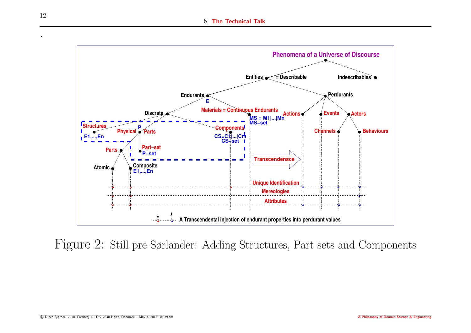

Figure 2: Still pre-Sørlander: Adding Structures, Part-sets and Components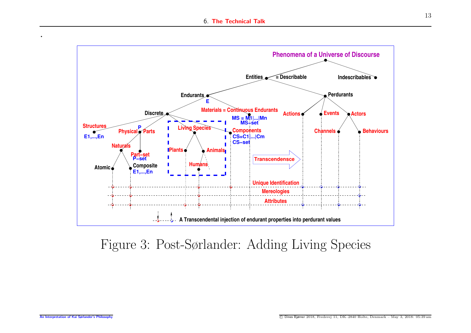

## Figure 3: Post-Sørlander: Adding Living Species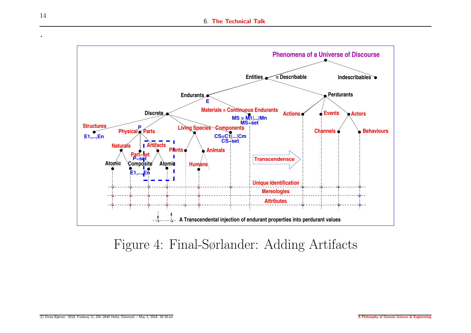

Figure 4: Final-Sørlander: Adding Artifacts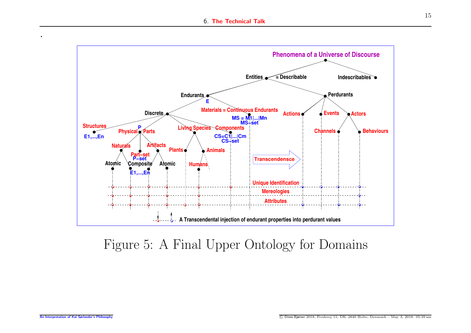

## Figure 5: A Final Upper Ontology for Domains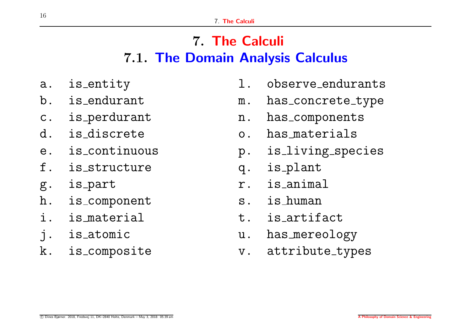# 7. The Calculi 7.1. The Domain Analysis Calculus

- a. is entity
- b. is endurant
- c. is perdurant
- d. is discrete
- e. is continuous
- f. is structure
- g. is par<sup>t</sup>
- h. is componen<sup>t</sup>
- i. is material
- j. is atomic
- k. is composite
- l. observe endurants
- m. has\_concrete\_type
- n. has components
- o. has materials
- p. is living species
- q. is plant
- r. is animal
- s. is human
- t. is artifact
- u. has mereology
- v. attribute\_types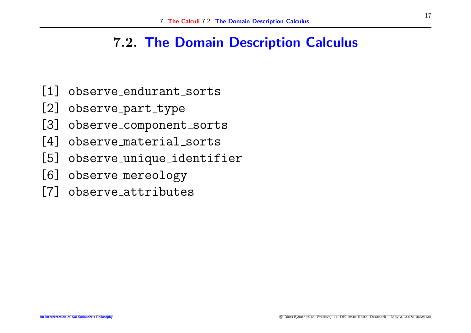#### 7.2. The Domain Description Calculus

- [1] observe endurant sorts
- [2] observe\_part\_type
- [3] observe\_component\_sorts
- [4] observe material sorts
- [5] observe unique identifier
- [6] observe mereology
- [7] observe attributes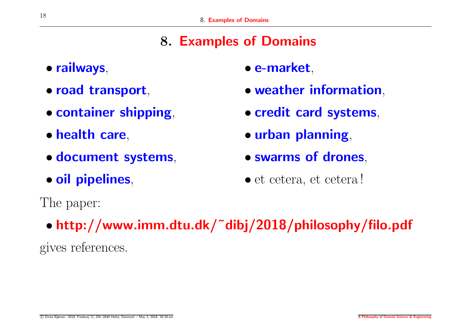## 8. Examples of Domains

- railways,
- road transport,
- container shipping,
- health care,
- document systems,
- oil pipelines,
- e-market,
- weather information,
- credit card systems,
- urban planning,
- swarms of drones,
- et cetera, et cetera !

The paper:

• http://www.imm.dtu.dk/˜dibj/2018/philosophy/filo.pdf

gives references.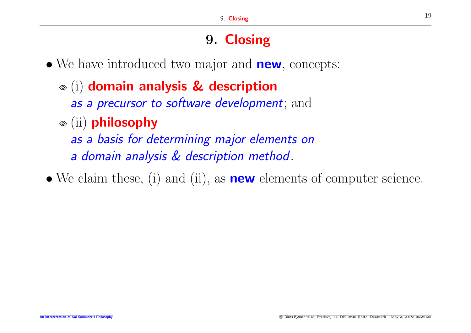# 9. Closing

- We have introduced two major and **new**, concepts:
	- ⋄⋄ (i) domain analysis & description *as a precursor to software development*; and
	- ⋄⋄ (ii) philosophy

*as a basis for determining major elements on <sup>a</sup> domain analysis & description method*.

• We claim these, (i) and (ii), as **new** elements of computer science.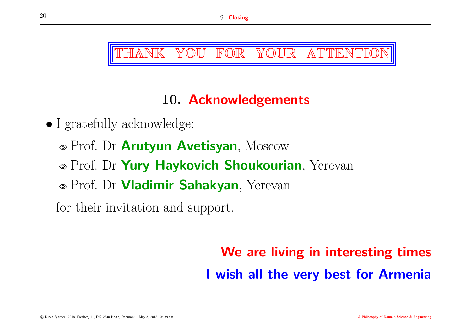ANK YOU FOR YOUR ATTENTIO

# 10. Acknowledgements

- I gratefully acknowledge:
	- ⋄⋄ Prof. Dr Arutyun Avetisyan, Moscow
	- ⋄⋄ Prof. Dr Yury Haykovich Shoukourian, Yerevan
	- ⋄⋄ Prof. Dr Vladimir Sahakyan, Yerevan

for their invitation and support.

# We are living in interesting times I wish all the very best for Armenia